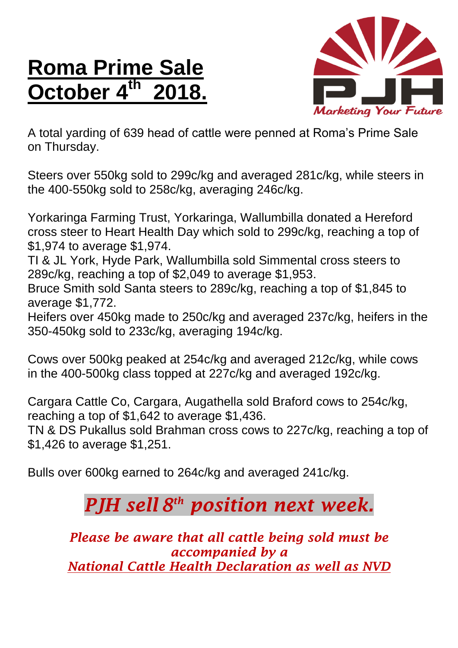## **Roma Prime Sale October 4 th 2018.**



A total yarding of 639 head of cattle were penned at Roma's Prime Sale on Thursday.

Steers over 550kg sold to 299c/kg and averaged 281c/kg, while steers in the 400-550kg sold to 258c/kg, averaging 246c/kg.

Yorkaringa Farming Trust, Yorkaringa, Wallumbilla donated a Hereford cross steer to Heart Health Day which sold to 299c/kg, reaching a top of \$1,974 to average \$1,974.

TI & JL York, Hyde Park, Wallumbilla sold Simmental cross steers to 289c/kg, reaching a top of \$2,049 to average \$1,953.

Bruce Smith sold Santa steers to 289c/kg, reaching a top of \$1,845 to average \$1,772.

Heifers over 450kg made to 250c/kg and averaged 237c/kg, heifers in the 350-450kg sold to 233c/kg, averaging 194c/kg.

Cows over 500kg peaked at 254c/kg and averaged 212c/kg, while cows in the 400-500kg class topped at 227c/kg and averaged 192c/kg.

Cargara Cattle Co, Cargara, Augathella sold Braford cows to 254c/kg, reaching a top of \$1,642 to average \$1,436.

TN & DS Pukallus sold Brahman cross cows to 227c/kg, reaching a top of \$1,426 to average \$1,251.

Bulls over 600kg earned to 264c/kg and averaged 241c/kg.

## *PJH sell 8 th position next week.*

*Please be aware that all cattle being sold must be accompanied by a National Cattle Health Declaration as well as NVD*